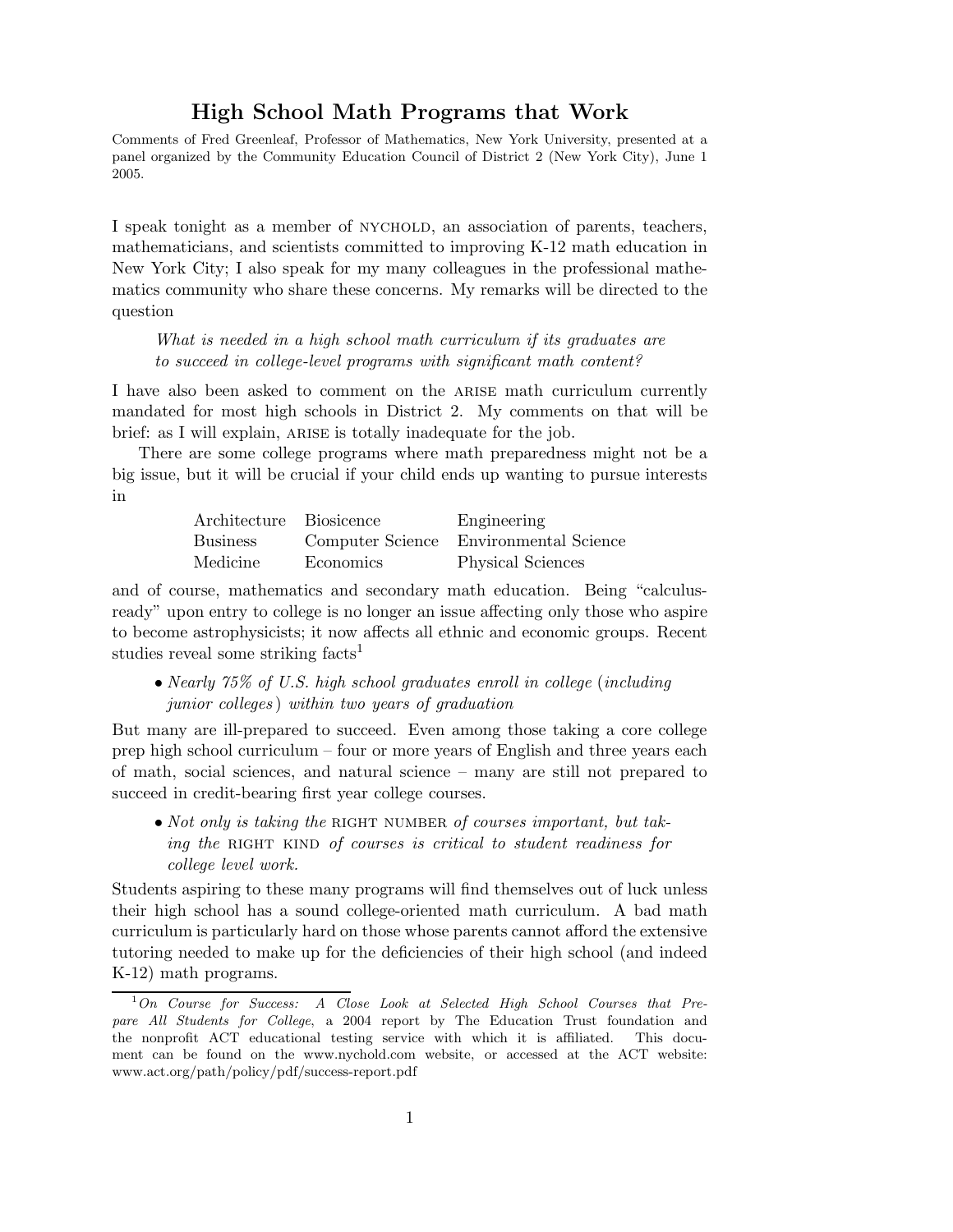# High School Math Programs that Work

Comments of Fred Greenleaf, Professor of Mathematics, New York University, presented at a panel organized by the Community Education Council of District 2 (New York City), June 1 2005.

I speak tonight as a member of nychold, an association of parents, teachers, mathematicians, and scientists committed to improving K-12 math education in New York City; I also speak for my many colleagues in the professional mathematics community who share these concerns. My remarks will be directed to the question

What is needed in a high school math curriculum if its graduates are to succeed in college-level programs with significant math content?

I have also been asked to comment on the ARISE math curriculum currently mandated for most high schools in District 2. My comments on that will be brief: as I will explain, ARISE is totally inadequate for the job.

There are some college programs where math preparedness might not be a big issue, but it will be crucial if your child ends up wanting to pursue interests in

| Architecture Biosicence |           | Engineering                            |
|-------------------------|-----------|----------------------------------------|
| Business                |           | Computer Science Environmental Science |
| Medicine                | Economics | <b>Physical Sciences</b>               |

and of course, mathematics and secondary math education. Being "calculusready" upon entry to college is no longer an issue affecting only those who aspire to become astrophysicists; it now affects all ethnic and economic groups. Recent studies reveal some striking facts<sup>1</sup>

• Nearly 75% of U.S. high school graduates enroll in college (including junior colleges ) within two years of graduation

But many are ill-prepared to succeed. Even among those taking a core college prep high school curriculum – four or more years of English and three years each of math, social sciences, and natural science – many are still not prepared to succeed in credit-bearing first year college courses.

• Not only is taking the RIGHT NUMBER of courses important, but taking the RIGHT KIND of courses is critical to student readiness for college level work.

Students aspiring to these many programs will find themselves out of luck unless their high school has a sound college-oriented math curriculum. A bad math curriculum is particularly hard on those whose parents cannot afford the extensive tutoring needed to make up for the deficiencies of their high school (and indeed K-12) math programs.

 $1$ On Course for Success: A Close Look at Selected High School Courses that Prepare All Students for College, a 2004 report by The Education Trust foundation and the nonprofit ACT educational testing service with which it is affiliated. This document can be found on the www.nychold.com website, or accessed at the ACT website: www.act.org/path/policy/pdf/success-report.pdf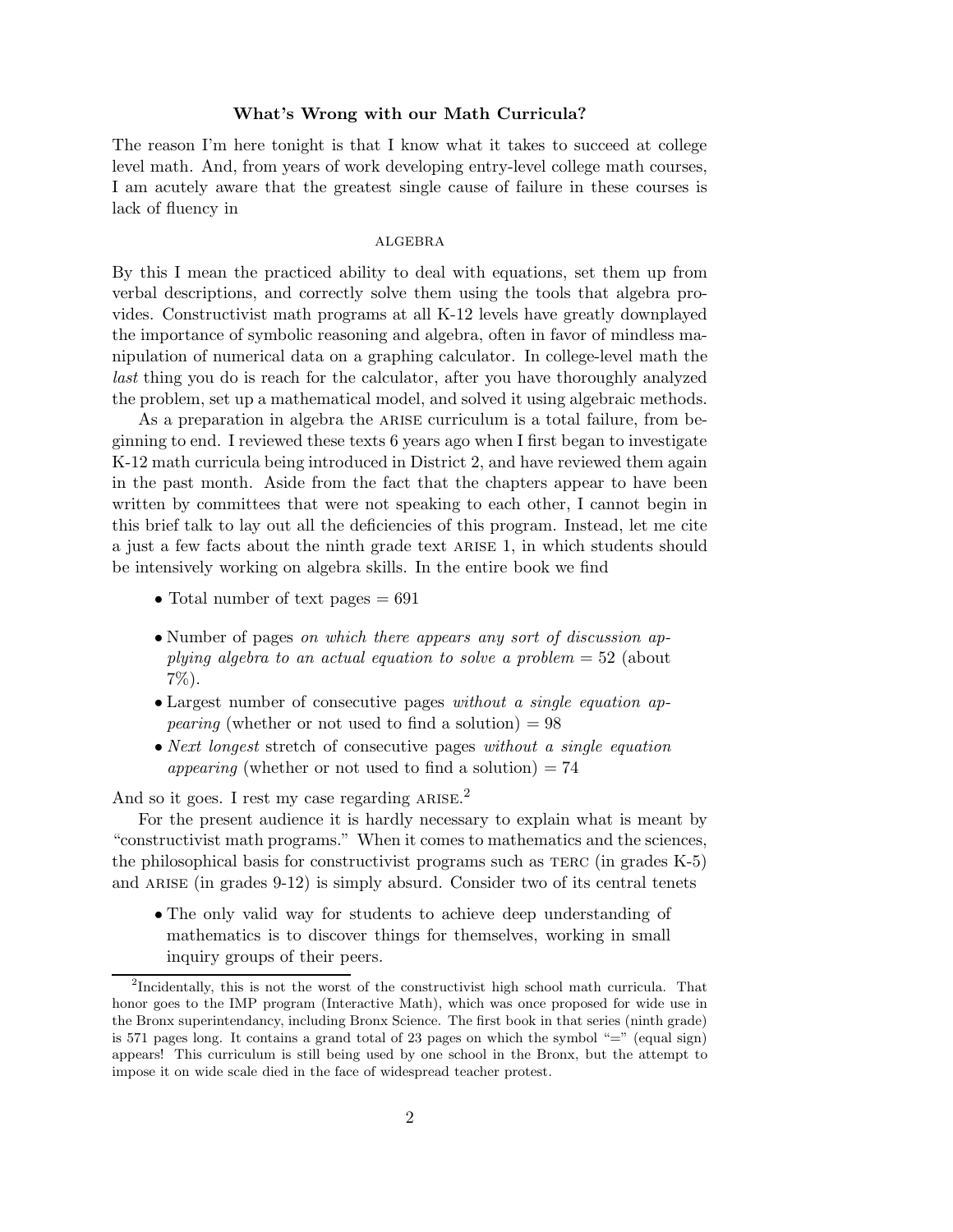### What's Wrong with our Math Curricula?

The reason I'm here tonight is that I know what it takes to succeed at college level math. And, from years of work developing entry-level college math courses, I am acutely aware that the greatest single cause of failure in these courses is lack of fluency in

#### **ALGEBRA**

By this I mean the practiced ability to deal with equations, set them up from verbal descriptions, and correctly solve them using the tools that algebra provides. Constructivist math programs at all K-12 levels have greatly downplayed the importance of symbolic reasoning and algebra, often in favor of mindless manipulation of numerical data on a graphing calculator. In college-level math the last thing you do is reach for the calculator, after you have thoroughly analyzed the problem, set up a mathematical model, and solved it using algebraic methods.

As a preparation in algebra the arise curriculum is a total failure, from beginning to end. I reviewed these texts 6 years ago when I first began to investigate K-12 math curricula being introduced in District 2, and have reviewed them again in the past month. Aside from the fact that the chapters appear to have been written by committees that were not speaking to each other, I cannot begin in this brief talk to lay out all the deficiencies of this program. Instead, let me cite a just a few facts about the ninth grade text arise 1, in which students should be intensively working on algebra skills. In the entire book we find

- Total number of text pages  $= 691$
- Number of pages *on which there appears any sort of discussion ap*plying algebra to an actual equation to solve a problem  $= 52$  (about 7%).
- Largest number of consecutive pages without a single equation ap*pearing* (whether or not used to find a solution)  $= 98$
- Next longest stretch of consecutive pages without a single equation appearing (whether or not used to find a solution)  $= 74$

And so it goes. I rest my case regarding  $ARISE<sup>2</sup>$ .

For the present audience it is hardly necessary to explain what is meant by "constructivist math programs." When it comes to mathematics and the sciences, the philosophical basis for constructivist programs such as terc (in grades K-5) and ARISE (in grades  $9-12$ ) is simply absurd. Consider two of its central tenets

• The only valid way for students to achieve deep understanding of mathematics is to discover things for themselves, working in small inquiry groups of their peers.

<sup>&</sup>lt;sup>2</sup>Incidentally, this is not the worst of the constructivist high school math curricula. That honor goes to the IMP program (Interactive Math), which was once proposed for wide use in the Bronx superintendancy, including Bronx Science. The first book in that series (ninth grade) is 571 pages long. It contains a grand total of 23 pages on which the symbol "=" (equal sign) appears! This curriculum is still being used by one school in the Bronx, but the attempt to impose it on wide scale died in the face of widespread teacher protest.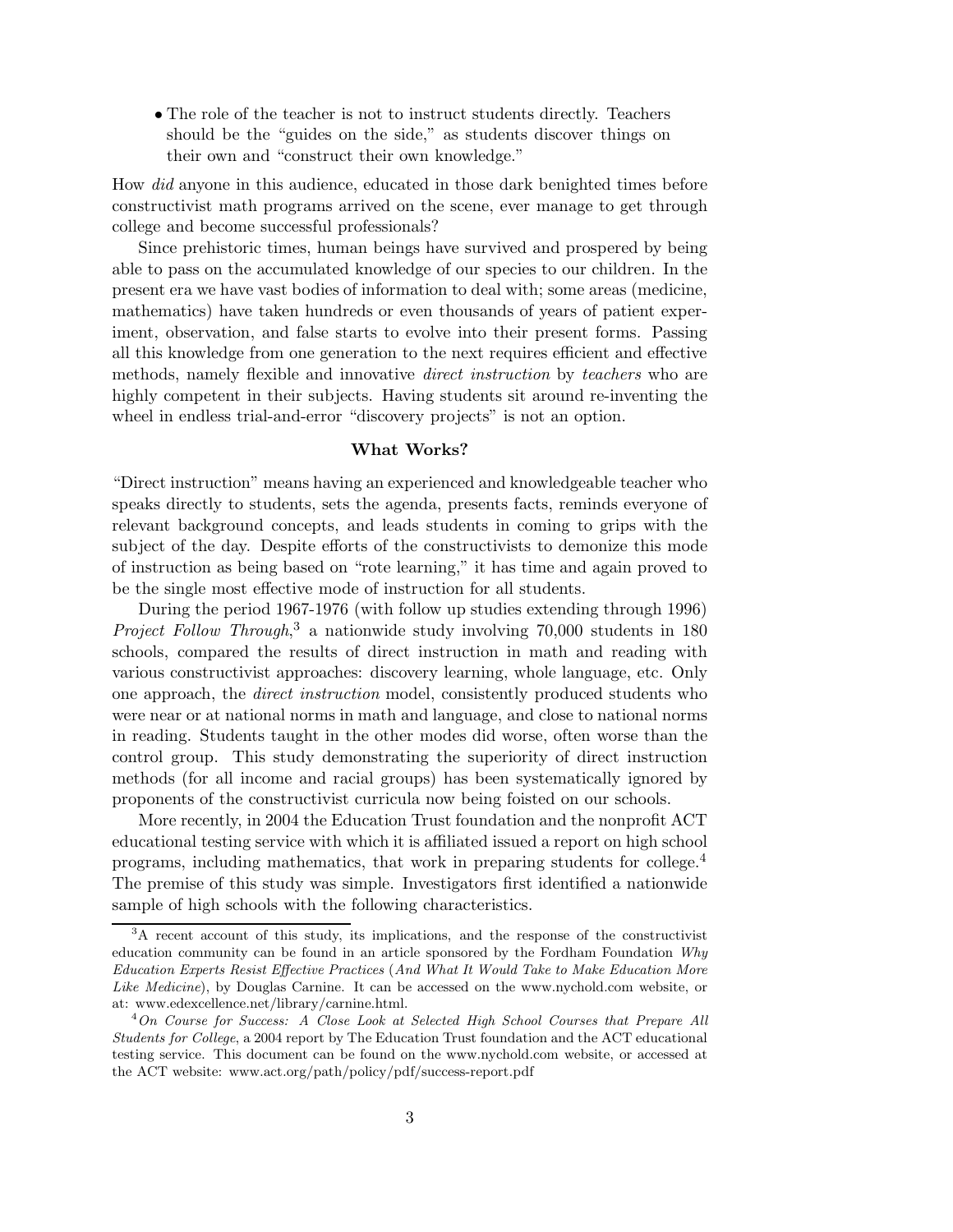• The role of the teacher is not to instruct students directly. Teachers should be the "guides on the side," as students discover things on their own and "construct their own knowledge."

How did anyone in this audience, educated in those dark benighted times before constructivist math programs arrived on the scene, ever manage to get through college and become successful professionals?

Since prehistoric times, human beings have survived and prospered by being able to pass on the accumulated knowledge of our species to our children. In the present era we have vast bodies of information to deal with; some areas (medicine, mathematics) have taken hundreds or even thousands of years of patient experiment, observation, and false starts to evolve into their present forms. Passing all this knowledge from one generation to the next requires efficient and effective methods, namely flexible and innovative *direct instruction* by *teachers* who are highly competent in their subjects. Having students sit around re-inventing the wheel in endless trial-and-error "discovery projects" is not an option.

## What Works?

"Direct instruction" means having an experienced and knowledgeable teacher who speaks directly to students, sets the agenda, presents facts, reminds everyone of relevant background concepts, and leads students in coming to grips with the subject of the day. Despite efforts of the constructivists to demonize this mode of instruction as being based on "rote learning," it has time and again proved to be the single most effective mode of instruction for all students.

During the period 1967-1976 (with follow up studies extending through 1996) Project Follow Through,<sup>3</sup> a nationwide study involving 70,000 students in 180 schools, compared the results of direct instruction in math and reading with various constructivist approaches: discovery learning, whole language, etc. Only one approach, the direct instruction model, consistently produced students who were near or at national norms in math and language, and close to national norms in reading. Students taught in the other modes did worse, often worse than the control group. This study demonstrating the superiority of direct instruction methods (for all income and racial groups) has been systematically ignored by proponents of the constructivist curricula now being foisted on our schools.

More recently, in 2004 the Education Trust foundation and the nonprofit ACT educational testing service with which it is affiliated issued a report on high school programs, including mathematics, that work in preparing students for college.<sup>4</sup> The premise of this study was simple. Investigators first identified a nationwide sample of high schools with the following characteristics.

<sup>&</sup>lt;sup>3</sup>A recent account of this study, its implications, and the response of the constructivist education community can be found in an article sponsored by the Fordham Foundation Why Education Experts Resist Effective Practices (And What It Would Take to Make Education More Like Medicine), by Douglas Carnine. It can be accessed on the www.nychold.com website, or at: www.edexcellence.net/library/carnine.html.

<sup>4</sup>On Course for Success: A Close Look at Selected High School Courses that Prepare All Students for College, a 2004 report by The Education Trust foundation and the ACT educational testing service. This document can be found on the www.nychold.com website, or accessed at the ACT website: www.act.org/path/policy/pdf/success-report.pdf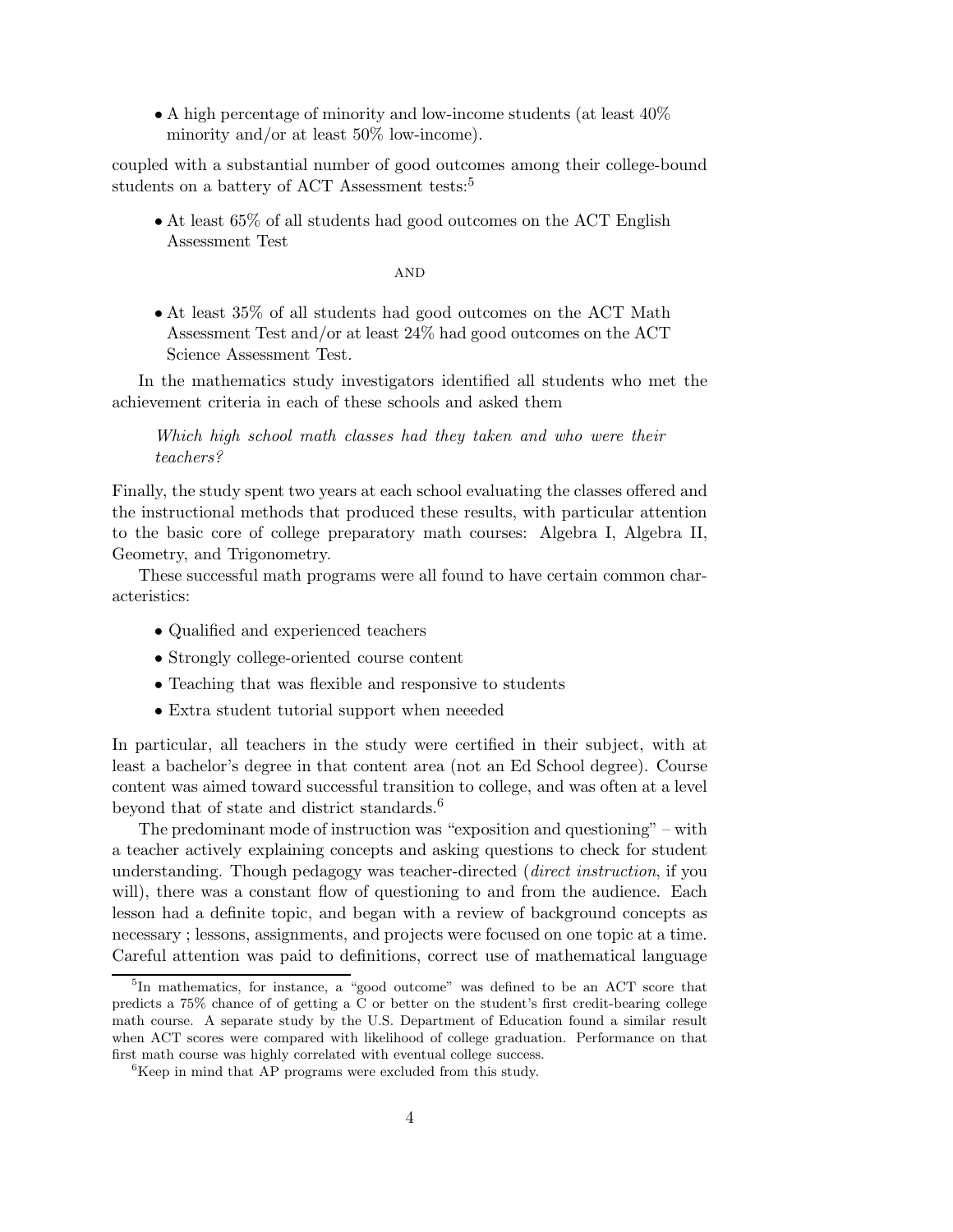• A high percentage of minority and low-income students (at least  $40\%$ ) minority and/or at least 50% low-income).

coupled with a substantial number of good outcomes among their college-bound students on a battery of ACT Assessment tests:<sup>5</sup>

• At least 65% of all students had good outcomes on the ACT English Assessment Test

**AND** 

• At least 35% of all students had good outcomes on the ACT Math Assessment Test and/or at least 24% had good outcomes on the ACT Science Assessment Test.

In the mathematics study investigators identified all students who met the achievement criteria in each of these schools and asked them

Which high school math classes had they taken and who were their teachers?

Finally, the study spent two years at each school evaluating the classes offered and the instructional methods that produced these results, with particular attention to the basic core of college preparatory math courses: Algebra I, Algebra II, Geometry, and Trigonometry.

These successful math programs were all found to have certain common characteristics:

- Qualified and experienced teachers
- Strongly college-oriented course content
- Teaching that was flexible and responsive to students
- Extra student tutorial support when neeeded

In particular, all teachers in the study were certified in their subject, with at least a bachelor's degree in that content area (not an Ed School degree). Course content was aimed toward successful transition to college, and was often at a level beyond that of state and district standards.<sup>6</sup>

The predominant mode of instruction was "exposition and questioning" – with a teacher actively explaining concepts and asking questions to check for student understanding. Though pedagogy was teacher-directed (direct instruction, if you will), there was a constant flow of questioning to and from the audience. Each lesson had a definite topic, and began with a review of background concepts as necessary ; lessons, assignments, and projects were focused on one topic at a time. Careful attention was paid to definitions, correct use of mathematical language

<sup>&</sup>lt;sup>5</sup>In mathematics, for instance, a "good outcome" was defined to be an ACT score that predicts a 75% chance of of getting a C or better on the student's first credit-bearing college math course. A separate study by the U.S. Department of Education found a similar result when ACT scores were compared with likelihood of college graduation. Performance on that first math course was highly correlated with eventual college success.

<sup>&</sup>lt;sup>6</sup>Keep in mind that AP programs were excluded from this study.